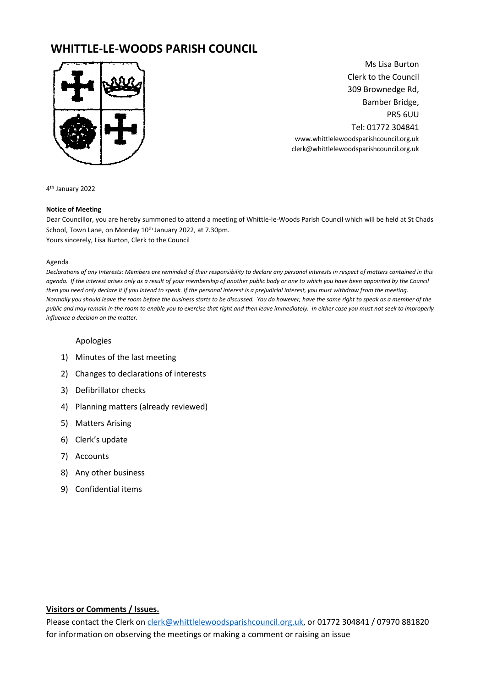# **WHITTLE-LE-WOODS PARISH COUNCIL**



Ms Lisa Burton Clerk to the Council 309 Brownedge Rd, Bamber Bridge, PR5 6UU Tel: 01772 304841 www.whittlelewoodsparishcouncil.org.uk clerk@whittlelewoodsparishcouncil.org.uk

4 th January 2022

#### **Notice of Meeting**

Dear Councillor, you are hereby summoned to attend a meeting of Whittle-le-Woods Parish Council which will be held at St Chads School, Town Lane, on Monday 10<sup>th</sup> January 2022, at 7.30pm. Yours sincerely, Lisa Burton, Clerk to the Council

#### Agenda

*Declarations of any Interests: Members are reminded of their responsibility to declare any personal interests in respect of matters contained in this agenda. If the interest arises only as a result of your membership of another public body or one to which you have been appointed by the Council then you need only declare it if you intend to speak. If the personal interest is a prejudicial interest, you must withdraw from the meeting. Normally you should leave the room before the business starts to be discussed. You do however, have the same right to speak as a member of the public and may remain in the room to enable you to exercise that right and then leave immediately. In either case you must not seek to improperly influence a decision on the matter.* 

### Apologies

- 1) Minutes of the last meeting
- 2) Changes to declarations of interests
- 3) Defibrillator checks
- 4) Planning matters (already reviewed)
- 5) Matters Arising
- 6) Clerk's update
- 7) Accounts
- 8) Any other business
- 9) Confidential items

#### **Visitors or Comments / Issues.**

Please contact the Clerk o[n clerk@whittlelewoodsparishcouncil.org.uk,](mailto:clerk@whittlelewoodsparishcouncil.org.uk) or 01772 304841 / 07970 881820 for information on observing the meetings or making a comment or raising an issue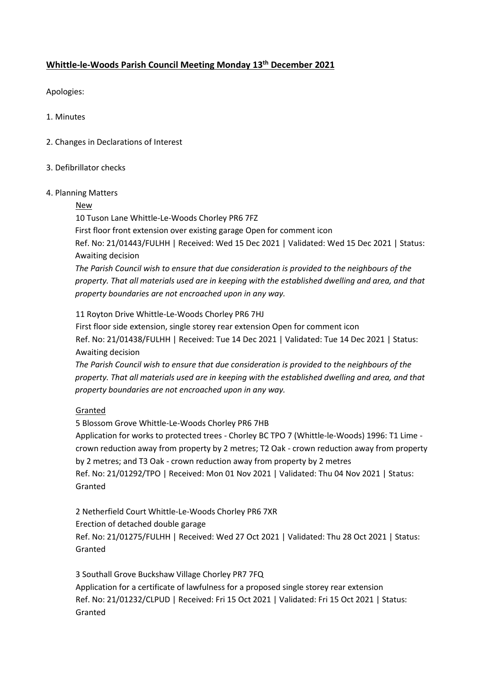## **Whittle-le-Woods Parish Council Meeting Monday 13th December 2021**

Apologies:

1. Minutes

- 2. Changes in Declarations of Interest
- 3. Defibrillator checks

### 4. Planning Matters

### New

10 Tuson Lane Whittle-Le-Woods Chorley PR6 7FZ

First floor front extension over existing garage Open for comment icon

Ref. No: 21/01443/FULHH | Received: Wed 15 Dec 2021 | Validated: Wed 15 Dec 2021 | Status: Awaiting decision

*The Parish Council wish to ensure that due consideration is provided to the neighbours of the property. That all materials used are in keeping with the established dwelling and area, and that property boundaries are not encroached upon in any way.*

11 Royton Drive Whittle-Le-Woods Chorley PR6 7HJ

First floor side extension, single storey rear extension Open for comment icon Ref. No: 21/01438/FULHH | Received: Tue 14 Dec 2021 | Validated: Tue 14 Dec 2021 | Status: Awaiting decision

*The Parish Council wish to ensure that due consideration is provided to the neighbours of the property. That all materials used are in keeping with the established dwelling and area, and that property boundaries are not encroached upon in any way.*

### Granted

5 Blossom Grove Whittle-Le-Woods Chorley PR6 7HB

Application for works to protected trees - Chorley BC TPO 7 (Whittle-le-Woods) 1996: T1 Lime crown reduction away from property by 2 metres; T2 Oak - crown reduction away from property by 2 metres; and T3 Oak - crown reduction away from property by 2 metres Ref. No: 21/01292/TPO | Received: Mon 01 Nov 2021 | Validated: Thu 04 Nov 2021 | Status: Granted

2 Netherfield Court Whittle-Le-Woods Chorley PR6 7XR

Erection of detached double garage

Ref. No: 21/01275/FULHH | Received: Wed 27 Oct 2021 | Validated: Thu 28 Oct 2021 | Status: Granted

3 Southall Grove Buckshaw Village Chorley PR7 7FQ Application for a certificate of lawfulness for a proposed single storey rear extension Ref. No: 21/01232/CLPUD | Received: Fri 15 Oct 2021 | Validated: Fri 15 Oct 2021 | Status: Granted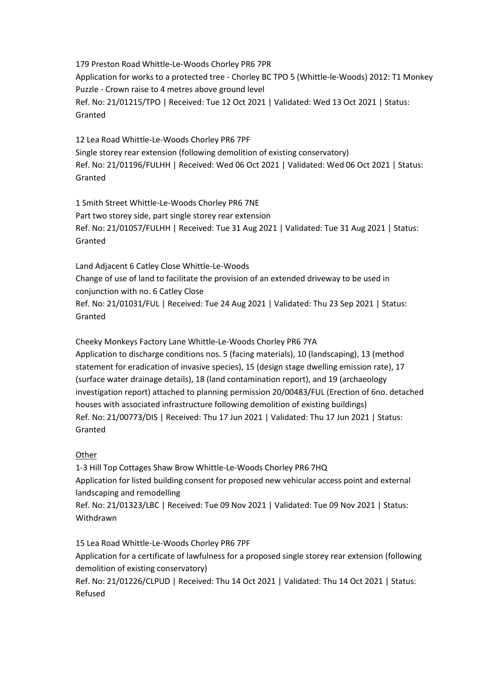179 Preston Road Whittle-Le-Woods Chorley PR6 7PR Application for works to a protected tree - Chorley BC TPO 5 (Whittle-le-Woods) 2012: T1 Monkey Puzzle - Crown raise to 4 metres above ground level Ref. No: 21/01215/TPO | Received: Tue 12 Oct 2021 | Validated: Wed 13 Oct 2021 | Status: Granted

12 Lea Road Whittle-Le-Woods Chorley PR6 7PF Single storey rear extension (following demolition of existing conservatory) Ref. No: 21/01196/FULHH | Received: Wed 06 Oct 2021 | Validated: Wed 06 Oct 2021 | Status: Granted

1 Smith Street Whittle-Le-Woods Chorley PR6 7NE Part two storey side, part single storey rear extension Ref. No: 21/01057/FULHH | Received: Tue 31 Aug 2021 | Validated: Tue 31 Aug 2021 | Status: Granted

Land Adjacent 6 Catley Close Whittle-Le-Woods Change of use of land to facilitate the provision of an extended driveway to be used in conjunction with no. 6 Catley Close Ref. No: 21/01031/FUL | Received: Tue 24 Aug 2021 | Validated: Thu 23 Sep 2021 | Status: Granted

Cheeky Monkeys Factory Lane Whittle-Le-Woods Chorley PR6 7YA

Application to discharge conditions nos. 5 (facing materials), 10 (landscaping), 13 (method statement for eradication of invasive species), 15 (design stage dwelling emission rate), 17 (surface water drainage details), 18 (land contamination report), and 19 (archaeology investigation report) attached to planning permission 20/00483/FUL (Erection of 6no. detached houses with associated infrastructure following demolition of existing buildings) Ref. No: 21/00773/DIS | Received: Thu 17 Jun 2021 | Validated: Thu 17 Jun 2021 | Status: Granted

### Other

1-3 Hill Top Cottages Shaw Brow Whittle-Le-Woods Chorley PR6 7HQ Application for listed building consent for proposed new vehicular access point and external landscaping and remodelling Ref. No: 21/01323/LBC | Received: Tue 09 Nov 2021 | Validated: Tue 09 Nov 2021 | Status:

Withdrawn

15 Lea Road Whittle-Le-Woods Chorley PR6 7PF Application for a certificate of lawfulness for a proposed single storey rear extension (following demolition of existing conservatory) Ref. No: 21/01226/CLPUD | Received: Thu 14 Oct 2021 | Validated: Thu 14 Oct 2021 | Status: Refused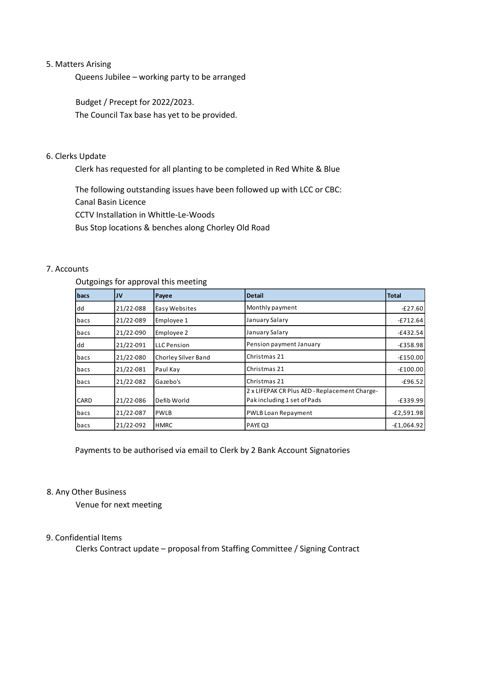#### 5. Matters Arising

Queens Jubilee – working party to be arranged

Budget / Precept for 2022/2023. The Council Tax base has yet to be provided.

### 6. Clerks Update

Clerk has requested for all planting to be completed in Red White & Blue

The following outstanding issues have been followed up with LCC or CBC:

Canal Basin Licence

CCTV Installation in Whittle-Le-Woods

Bus Stop locations & benches along Chorley Old Road

### 7. Accounts

### Outgoings for approval this meeting

| bacs | JV        | Payee               | <b>Detail</b>                                                               | <b>Total</b> |
|------|-----------|---------------------|-----------------------------------------------------------------------------|--------------|
| dd   | 21/22-088 | Easy Websites       | Monthly payment                                                             | $-E27.60$    |
| bacs | 21/22-089 | Employee 1          | January Salary                                                              | $-£712.64$   |
| bacs | 21/22-090 | Employee 2          | January Salary                                                              | $-£432.54$   |
| dd   | 21/22-091 | <b>LLC</b> Pension  | Pension payment January                                                     | $-£358.98$   |
| bacs | 21/22-080 | Chorley Silver Band | Christmas 21                                                                | $-£150.00$   |
| bacs | 21/22-081 | Paul Kay            | Christmas 21                                                                | $-£100.00$   |
| bacs | 21/22-082 | Gazebo's            | Christmas 21                                                                | $-£96.52$    |
| CARD | 21/22-086 | Defib World         | 2 x LIFEPAK CR Plus AED - Replacement Charge-<br>Pakincluding 1 set of Pads | $-£339.99$   |
| bacs | 21/22-087 | <b>PWLB</b>         | <b>PWLB Loan Repayment</b>                                                  | $-E2,591.98$ |
| bacs | 21/22-092 | <b>HMRC</b>         | PAYE Q3                                                                     | $-£1,064.92$ |

Payments to be authorised via email to Clerk by 2 Bank Account Signatories

### 8. Any Other Business

Venue for next meeting

### 9. Confidential Items

Clerks Contract update – proposal from Staffing Committee / Signing Contract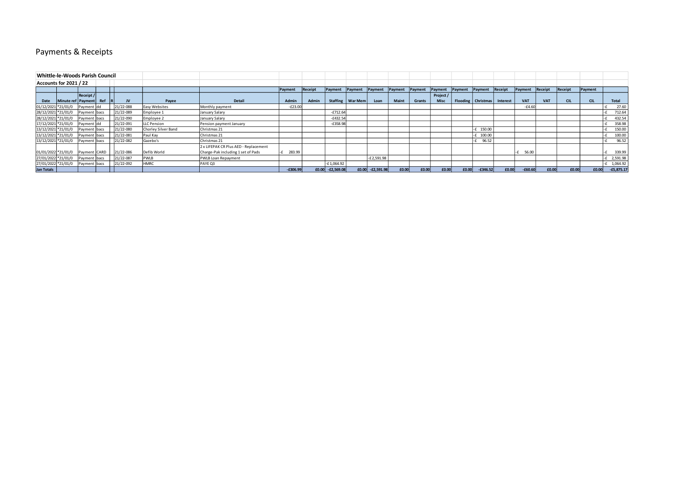# Payments & Receipts

| Whittle-le-Woods Parish Council |                      |              |         |           |                     |                                       |            |         |                     |                    |                    |         |               |             |         |                      |          |            |            |            |            |              |
|---------------------------------|----------------------|--------------|---------|-----------|---------------------|---------------------------------------|------------|---------|---------------------|--------------------|--------------------|---------|---------------|-------------|---------|----------------------|----------|------------|------------|------------|------------|--------------|
| Accounts for 2021 / 22          |                      |              |         |           |                     |                                       |            |         |                     |                    |                    |         |               |             |         |                      |          |            |            |            |            |              |
|                                 |                      |              |         |           |                     |                                       | Payment    | Receipt | Payment             | Payment            | Payment            | Payment | Payment       | Payment     | Payment | Payment              | Receipt  | Payment    | Receipt    | Receipt    | Payment    |              |
|                                 |                      | Receipt /    |         |           |                     |                                       |            |         |                     |                    |                    |         |               | Project /   |         |                      |          |            |            |            |            |              |
| Date                            | Minute ref   Payment |              | Ref     | JV        | Pavee               | Detail                                | Admin      | Admin   |                     | Staffing   War Mem | Loan               | Maint   | <b>Grants</b> | <b>Misc</b> |         | Flooding   Christmas | Interest | <b>VAT</b> | <b>VAT</b> | <b>CIL</b> | <b>CIL</b> | <b>Total</b> |
| 01/12/2021 *21/01/0             |                      | Payment dd   |         | 21/22-088 | Easy Websites       | Monthly payment                       | $-E23.00$  |         |                     |                    |                    |         |               |             |         |                      |          | $-64.60$   |            |            |            | 27.60        |
| 28/12/2021 *21/01/0             |                      | Payment bacs |         | 21/22-089 | Employee 1          | January Salary                        |            |         | $-£712.64$          |                    |                    |         |               |             |         |                      |          |            |            |            |            | 712.64       |
| 28/12/2021 *21/01/0             |                      | Payment bacs |         | 21/22-090 | Employee 2          | January Salary                        |            |         | $-£432.54$          |                    |                    |         |               |             |         |                      |          |            |            |            |            | 432.54       |
| 17/12/2021 *21/01/0             |                      | Payment dd   |         | 21/22-091 | <b>LLC Pension</b>  | Pension payment January               |            |         | $-£358.98$          |                    |                    |         |               |             |         |                      |          |            |            |            |            | 358.98       |
| 13/12/2021 *21/01/0             |                      | Payment bacs |         | 21/22-080 | Chorley Silver Band | Christmas 21                          |            |         |                     |                    |                    |         |               |             |         | 150.00               |          |            |            |            |            | 150.00       |
| 13/12/2021 *21/01/0             |                      | Payment      | `  bacs | 21/22-081 | Paul Kay            | Christmas 21                          |            |         |                     |                    |                    |         |               |             |         | 100.00               |          |            |            |            |            | 100.00       |
| 13/12/2021 *21/01/0             |                      | Payment      | : Ibacs | 21/22-082 | Gazebo's            | Christmas 21                          |            |         |                     |                    |                    |         |               |             |         | 96.52                |          |            |            |            |            | 96.52        |
|                                 |                      |              |         |           |                     | 2 x LIFEPAK CR Plus AED - Replacement |            |         |                     |                    |                    |         |               |             |         |                      |          |            |            |            |            |              |
| 01/01/2022 *21/01/0             |                      | Payment CARD |         | 21/22-086 | Defib World         | Charge-Pak including 1 set of Pads    | 283.99     |         |                     |                    |                    |         |               |             |         |                      |          | 56.00      |            |            |            | 339.99       |
| 27/01/2022 *21/01/0             |                      | Payment bacs |         | 21/22-087 | <b>PWLB</b>         | PWLB Loan Repayment                   |            |         |                     |                    | $-E2,591.98$       |         |               |             |         |                      |          |            |            |            |            | 2,591.98     |
| 27/01/2022 *21/01/0             |                      | Payment bacs |         | 21/22-092 | <b>HMRC</b>         | PAYE Q3                               |            |         | £1,064.92           |                    |                    |         |               |             |         |                      |          |            |            |            |            | 1,064.92     |
| Jan Totals                      |                      |              |         |           |                     |                                       | $-£306.99$ |         | $f(0.00$ -f2,569.08 |                    | $E0.00$ -£2,591.98 | £0.00   | £0.00         | £0.00       | £0.00   | $-£346.52$           | £0.00    | $-60.60$   | £0.00      | £0.00      | £0.00      | $-£5,875.17$ |